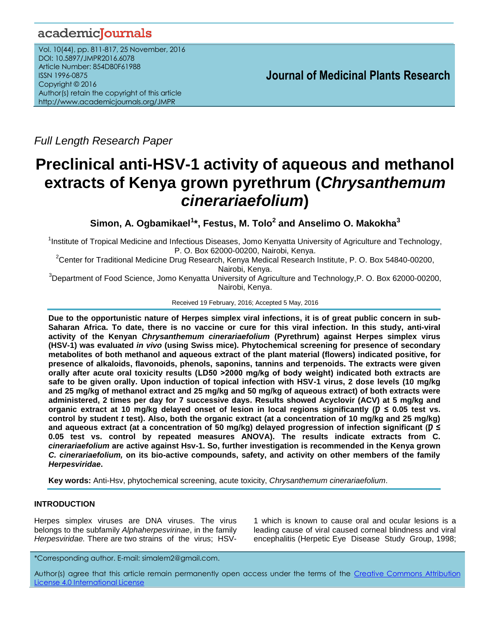# academicJournals

Vol. 10(44), pp. 811-817, 25 November, 2016 DOI: 10.5897/JMPR2016.6078 Article Number: 854DB0F61988 ISSN 1996-0875 Copyright © 2016 Author(s) retain the copyright of this article http://www.academicjournals.org/JMPR

 **Journal of Medicinal Plants Research**

*Full Length Research Paper*

# **Preclinical anti-HSV-1 activity of aqueous and methanol extracts of Kenya grown pyrethrum (***Chrysanthemum cinerariaefolium***)**

**Simon, A. Ogbamikael<sup>1</sup> \*, Festus, M. Tolo<sup>2</sup> and Anselimo O. Makokha<sup>3</sup>**

<sup>1</sup>Institute of Tropical Medicine and Infectious Diseases, Jomo Kenyatta University of Agriculture and Technology, P. O. Box 62000-00200, Nairobi, Kenya.

<sup>2</sup>Center for Traditional Medicine Drug Research, Kenya Medical Research Institute, P. O. Box 54840-00200, Nairobi, Kenya.

<sup>3</sup>Department of Food Science, Jomo Kenyatta University of Agriculture and Technology, P. O. Box 62000-00200, Nairobi, Kenya.

Received 19 February, 2016; Accepted 5 May, 2016

**Due to the opportunistic nature of Herpes simplex viral infections, it is of great public concern in sub-Saharan Africa. To date, there is no vaccine or cure for this viral infection. In this study, anti-viral activity of the Kenyan** *Chrysanthemum cinerariaefolium* **(Pyrethrum) against Herpes simplex virus (HSV-1) was evaluated** *in vivo* **(using Swiss mice). Phytochemical screening for presence of secondary metabolites of both methanol and aqueous extract of the plant material (flowers) indicated positive, for presence of alkaloids, flavonoids, phenols, saponins, tannins and terpenoids. The extracts were given orally after acute oral toxicity results (LD50 ˃2000 mg/kg of body weight) indicated both extracts are safe to be given orally. Upon induction of topical infection with HSV-1 virus, 2 dose levels (10 mg/kg and 25 mg/kg of methanol extract and 25 mg/kg and 50 mg/kg of aqueous extract) of both extracts were administered, 2 times per day for 7 successive days. Results showed Acyclovir (ACV) at 5 mg/kg and**  organic extract at 10 mg/kg delayed onset of lesion in local regions significantly ( $p \le 0.05$  test vs. **control by student** *t* **test). Also, both the organic extract (at a concentration of 10 mg/kg and 25 mg/kg)**  and aqueous extract (at a concentration of 50 mg/kg) delayed progression of infection significant ( $$ **0.05 test vs. control by repeated measures ANOVA). The results indicate extracts from C.** *cinerariaefolium* **are active against Hsv-1. So, further investigation is recommended in the Kenya grown** *C. cinerariaefolium,* **on its bio-active compounds, safety, and activity on other members of the family**  *Herpesviridae***.** 

**Key words:** Anti-Hsv, phytochemical screening, acute toxicity, *Chrysanthemum cinerariaefolium*.

# **INTRODUCTION**

Herpes simplex viruses are DNA viruses. The virus belongs to the subfamily *Alphaherpesvirinae*, in the family *Herpesviridae.* There are two strains of the virus; HSV-

1 which is known to cause oral and ocular lesions is a leading cause of viral caused corneal blindness and viral encephalitis (Herpetic Eye Disease Study Group, 1998;

\*Corresponding author. E-mail: simalem2@gmail.com.

Author(s) agree that this article remain permanently open access under the terms of the Creative Commons Attribution License 4.0 [International](http://creativecommons.org/licenses/by/4.0/deed.en_US) License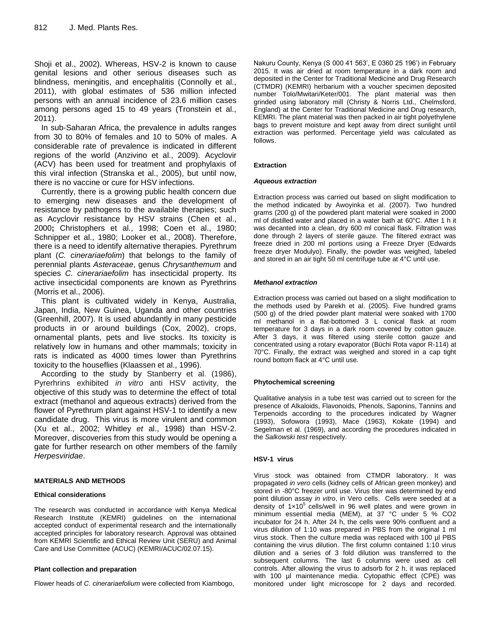Shoji et al., 2002). Whereas, HSV-2 is known to cause genital lesions and other serious diseases such as blindness, meningitis, and encephalitis (Connolly et al., 2011), with global estimates of 536 million infected persons with an annual incidence of 23.6 million cases among persons aged 15 to 49 years (Tronstein et al., 2011).

In sub-Saharan Africa, the prevalence in adults ranges from 30 to 80% of females and 10 to 50% of males. A considerable rate of prevalence is indicated in different regions of the world (Anzivino et al., 2009). Acyclovir (ACV) has been used for treatment and prophylaxis of this viral infection (Stranska et al., 2005), but until now, there is no vaccine or cure for HSV infections.

Currently, there is a growing public health concern due to emerging new diseases and the development of resistance by pathogens to the available therapies; such as Acyclovir resistance by HSV strains (Chen et al., 2000**;** Christophers et al., 1998; Coen et al., 1980; Schnipper et al., 1980; Looker et al., 2008). Therefore, there is a need to identify alternative therapies. Pyrethrum plant (*C. cinerariaefolim*) that belongs to the family of perennial plants *Asteraceae*, genus *Chrysanthemum* and species *C. cinerariaefolim* has insecticidal property. Its active insecticidal components are known as Pyrethrins (Morris et al., 2006).

This plant is cultivated widely in Kenya, Australia, Japan, India, New Guinea, Uganda and other countries (Greenhill, 2007). It is used abundantly in many pesticide products in or around buildings (Cox, 2002), crops, ornamental plants, pets and live stocks. Its toxicity is relatively low in humans and other mammals; toxicity in rats is indicated as 4000 times lower than Pyrethrins toxicity to the houseflies (Klaassen et al., 1996).

According to the study by Stanberry et al. (1986), Pyrerhrins exhibited *in vitro* anti HSV activity, the objective of this study was to determine the effect of total extract (methanol and aqueous extracts) derived from the flower of Pyrethrum plant against HSV-1 to identify a new candidate drug. This virus is more virulent and common (Xu et al., [2002;](http://www.ncbi.nlm.nih.gov/books/NBK47447/) Whitley *et* al., [1998\)](http://www.ncbi.nlm.nih.gov/books/NBK47447/) than HSV-2. Moreover, discoveries from this study would be opening a gate for further research on other members of the family *Herpesviridae*.

# **MATERIALS AND METHODS**

# **Ethical considerations**

The research was conducted in accordance with Kenya Medical Research Institute (KEMRI) guidelines on the international accepted conduct of experimental research and the internationally accepted principles for laboratory research. Approval was obtained from KEMRI Scientific and Ethical Review Unit (SERU) and Animal Care and Use Committee (ACUC) (KEMRI/ACUC/02.07.15).

# **Plant collection and preparation**

Flower heads of *C. cinerariaefolium* were collected from Kiambogo,

Nakuru County, Kenya (S 000 41 563', E 0360 25 196') in February 2015. It was air dried at room temperature in a dark room and deposited in the Center for Traditional Medicine and Drug Research (CTMDR) (KEMRI) herbarium with a voucher specimen deposited number Tolo/Mwitari/Keter/001. The plant material was then grinded using laboratory mill (Christy & Norris Ltd., Chelmsford, England) at the Center for Traditional Medicine and Drug research, KEMRI. The plant material was then packed in air tight polyethylene bags to prevent moisture and kept away from direct sunlight until extraction was performed. Percentage yield was calculated as follows.

#### **Extraction**

#### *Aqueous extraction*

Extraction process was carried out based on slight modification to the method indicated by Awoyinka et al. (2007). Two hundred grams (200 g) of the powdered plant material were soaked in 2000 ml of distilled water and placed in a water bath at 60°C. After 1 h it was decanted into a clean, dry 600 ml conical flask. Filtration was done through 2 layers of sterile gauze. The filtered extract was freeze dried in 200 ml portions using a Freeze Dryer (Edwards freeze dryer Modulyo). Finally, the powder was weighed, labeled and stored in an air tight 50 ml centrifuge tube at 4°C until use.

#### *Methanol extraction*

Extraction process was carried out based on a slight modification to the methods used by Parekh et al. (2005). Five hundred grams (500 g) of the dried powder plant material were soaked with 1700 ml methanol in a flat-bottomed 3 L conical flask at room temperature for 3 days in a dark room covered by cotton gauze. After 3 days, it was filtered using sterile cotton gauze and concentrated using a rotary evaporator (Büchi Rota vapor R-114) at 70°C. Finally, the extract was weighed and stored in a cap tight round bottom flack at 4°C until use.

# **Phytochemical screening**

Qualitative analysis in a tube test was carried out to screen for the presence of Alkaloids, Flavonoids, Phenols, Saponins, Tannins and Terpenoids according to the procedures indicated by Wagner (1993), Sofowora (1993), Mace (1963), Kokate (1994) and Segelman et al. (1969), and according the procedures indicated in the *Salkowski test* respectively.

#### **HSV-1 virus**

Virus stock was obtained from CTMDR laboratory. It was propagated *in vero* cells (kidney cells of African green monkey) and stored in -80°C freezer until use. Virus titer was determined by end point dilution assay *in vitro*, in Vero cells. Cells were seeded at a density of  $1\times10^5$  cells/well in 96 well plates and were grown in minimum essential media (MEM), at 37 °C under 5 % CO2 incubator for 24 h. After 24 h, the cells were 90% confluent and a virus dilution of 1:10 was prepared in PBS from the original 1 ml virus stock. Then the culture media was replaced with 100 µl PBS containing the virus dilution. The first column contained 1:10 virus dilution and a series of 3 fold dilution was transferred to the subsequent columns. The last 6 columns were used as cell controls. After allowing the virus to adsorb for 2 h, it was replaced with 100 µl maintenance media. Cytopathic effect (CPE) was monitored under light microscope for 2 days and recorded.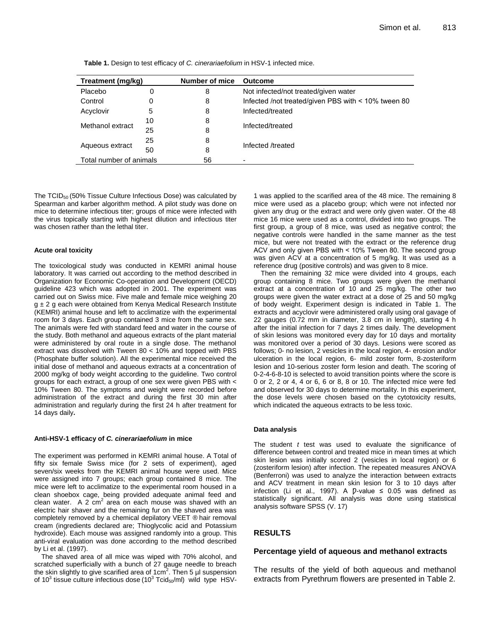| Treatment (mg/kg)       |    | Number of mice | <b>Outcome</b>                                      |  |
|-------------------------|----|----------------|-----------------------------------------------------|--|
| Placebo                 | 0  | 8              | Not infected/not treated/given water                |  |
| Control                 | 0  | 8              | Infected /not treated/given PBS with < 10% tween 80 |  |
| Acyclovir               | 5  | 8              | Infected/treated                                    |  |
| Methanol extract        | 10 | 8              | Infected/treated                                    |  |
|                         | 25 | 8              |                                                     |  |
| Aqueous extract         | 25 | 8              | Infected /treated                                   |  |
|                         | 50 | 8              |                                                     |  |
| Total number of animals |    | 56             | -                                                   |  |

**Table 1.** Design to test efficacy of *C. cinerariaefolium* in HSV-1 infected mice.

The TCID50 (50% Tissue Culture Infectious Dose) was calculated by Spearman and karber algorithm method. A pilot study was done on mice to determine infectious titer; groups of mice were infected with the virus topically starting with highest dilution and infectious titer was chosen rather than the lethal titer.

#### **Acute oral toxicity**

The toxicological study was conducted in KEMRI animal house laboratory. It was carried out according to the method described in Organization for Economic Co-operation and Development (OECD) guideline 423 which was adopted in 2001. The experiment was carried out on Swiss mice. Five male and female mice weighing 20  $g \pm 2$  g each were obtained from Kenya Medical Research Institute (KEMRI) animal house and left to acclimatize with the experimental room for 3 days. Each group contained 3 mice from the same sex. The animals were fed with standard feed and water in the course of the study. Both methanol and aqueous extracts of the plant material were administered by oral route in a single dose. The methanol extract was dissolved with Tween 80 < 10% and topped with PBS (Phosphate buffer solution). All the experimental mice received the initial dose of methanol and aqueous extracts at a concentration of 2000 mg/kg of body weight according to the guideline. Two control groups for each extract, a group of one sex were given PBS with < 10% Tween 80. The symptoms and weight were recorded before administration of the extract and during the first 30 min after administration and regularly during the first 24 h after treatment for 14 days daily**.**

#### **Anti-HSV-1 efficacy of** *C. cinerariaefolium* **in mice**

The experiment was performed in KEMRI animal house. A Total of fifty six female Swiss mice (for 2 sets of experiment), aged seven/six weeks from the KEMRI animal house were used. Mice were assigned into 7 groups; each group contained 8 mice. The mice were left to acclimatize to the experimental room housed in a clean shoebox cage, being provided adequate animal feed and clean water. A 2  $cm<sup>2</sup>$  area on each mouse was shaved with an electric hair shaver and the remaining fur on the shaved area was completely removed by a chemical depilatory VEET ® hair removal cream (ingredients declared are; Thioglycolic acid and Potassium hydroxide). Each mouse was assigned randomly into a group. This anti-viral evaluation was done according to the method described by Li et al. (1997).

The shaved area of all mice was wiped with 70% alcohol, and scratched superficially with a bunch of 27 gauge needle to breach the skin slightly to give scarified area of 1cm<sup>2</sup>. Then 5  $\mu$ l suspension of 10<sup>3</sup> tissue culture infectious dose (10 $3$  Tcid<sub>50</sub>/ml) wild type HSV-

1 was applied to the scarified area of the 48 mice. The remaining 8 mice were used as a placebo group; which were not infected nor given any drug or the extract and were only given water. Of the 48 mice 16 mice were used as a control, divided into two groups. The first group, a group of 8 mice, was used as negative control; the negative controls were handled in the same manner as the test mice, but were not treated with the extract or the reference drug ACV and only given PBS with ˂ 10% Tween 80. The second group was given ACV at a concentration of 5 mg/kg. It was used as a reference drug (positive controls) and was given to 8 mice.

Then the remaining 32 mice were divided into 4 groups, each group containing 8 mice. Two groups were given the methanol extract at a concentration of 10 and 25 mg/kg. The other two groups were given the water extract at a dose of 25 and 50 mg/kg of body weight. Experiment design is indicated in Table 1. The extracts and acyclovir were administered orally using oral gavage of 22 gauges (0.72 mm in diameter, 3.8 cm in length), starting 4 h after the initial infection for 7 days 2 times daily. The development of skin lesions was monitored every day for 10 days and mortality was monitored over a period of 30 days. Lesions were scored as follows; 0- no lesion, 2 vesicles in the local region, 4- erosion and/or ulceration in the local region, 6- mild zoster form, 8-zosteriform lesion and 10-serious zoster form lesion and death. The scoring of 0-2-4-6-8-10 is selected to avoid transition points where the score is 0 or 2, 2 or 4, 4 or 6, 6 or 8, 8 or 10. The infected mice were fed and observed for 30 days to determine mortality. In this experiment, the dose levels were chosen based on the cytotoxicity results, which indicated the aqueous extracts to be less toxic.

#### **Data analysis**

The student *t* test was used to evaluate the significance of difference between control and treated mice in mean times at which skin lesion was initially scored 2 (vesicles in local region) or 6 (zosteriform lesion) after infection. The repeated measures ANOVA (Benferroni) was used to analyze the interaction between extracts and ACV treatment in mean skin lesion for 3 to 10 days after infection (Li et al., 1997). A  $$ statistically significant. All analysis was done using statistical analysis software SPSS (V. 17)

# **RESULTS**

#### **Percentage yield of aqueous and methanol extracts**

The results of the yield of both aqueous and methanol extracts from Pyrethrum flowers are presented in Table 2.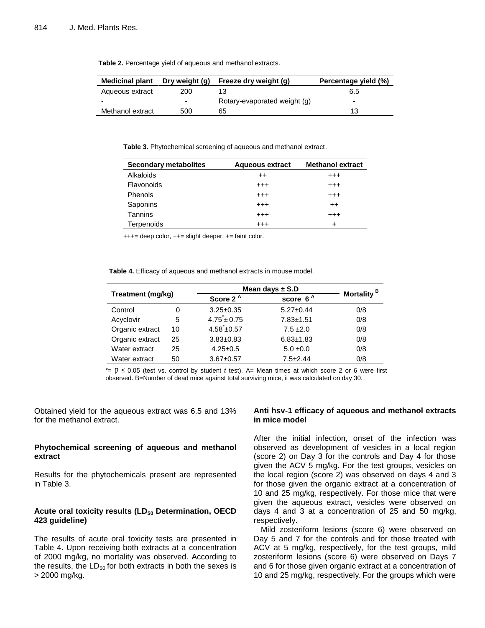| <b>Medicinal plant</b> | Dry weight (g)           | Freeze dry weight (g)        | Percentage yield (%) |
|------------------------|--------------------------|------------------------------|----------------------|
| Aqueous extract        | 200                      |                              | 6.5                  |
| -                      | $\overline{\phantom{0}}$ | Rotary-evaporated weight (g) | -                    |
| Methanol extract       | 500                      | 65                           | 13                   |

**Table 2.** Percentage yield of aqueous and methanol extracts.

**Table 3.** Phytochemical screening of aqueous and methanol extract.

| <b>Secondary metabolites</b> | <b>Aqueous extract</b> | <b>Methanol extract</b> |
|------------------------------|------------------------|-------------------------|
| Alkaloids                    | $^{++}$                | $^{++}$                 |
| Flavonoids                   | $^{+++}$               | $^{++}$                 |
| Phenols                      | $^{++}$                | $^{++}$                 |
| Saponins                     | $^{+++}$               | $^{++}$                 |
| Tannins                      | $^{++}$                | $^{++}$                 |
| <b>Terpenoids</b>            | +++                    | ÷                       |

+++= deep color, ++= slight deeper, += faint color.

**Table 4.** Efficacy of aqueous and methanol extracts in mouse model.

| Treatment (mg/kg) |    |                            | Mean days $\pm$ S.D |                        |  |
|-------------------|----|----------------------------|---------------------|------------------------|--|
|                   |    | Score 2 <sup>A</sup>       | score $6^A$         | Mortality <sup>B</sup> |  |
| Control           | 0  | $3.25 \pm 0.35$            | $5.27 \pm 0.44$     | 0/8                    |  |
| Acyclovir         | 5  | $4.75 \pm 0.75$            | $7.83 + 1.51$       | 0/8                    |  |
| Organic extract   | 10 | $4.58^{\text{*}} \pm 0.57$ | $7.5 \pm 2.0$       | 0/8                    |  |
| Organic extract   | 25 | $3.83 \pm 0.83$            | $6.83 \pm 1.83$     | 0/8                    |  |
| Water extract     | 25 | $4.25 \pm 0.5$             | $5.0 \pm 0.0$       | 0/8                    |  |
| Water extract     | 50 | $3.67 + 0.57$              | $7.5 + 2.44$        | 0/8                    |  |

\*= Ƿ ≤ 0.05 (test vs. control by student *t* test). A= Mean times at which score 2 or 6 were first observed. B=Number of dead mice against total surviving mice, it was calculated on day 30.

Obtained yield for the aqueous extract was 6.5 and 13% for the methanol extract.

# **Phytochemical screening of aqueous and methanol extract**

Results for the phytochemicals present are represented in Table 3.

# **Acute oral toxicity results (LD<sup>50</sup> Determination, OECD 423 guideline)**

The results of acute oral toxicity tests are presented in Table 4. Upon receiving both extracts at a concentration of 2000 mg/kg, no mortality was observed. According to the results, the  $LD_{50}$  for both extracts in both the sexes is > 2000 mg/kg.

# **Anti hsv-1 efficacy of aqueous and methanol extracts in mice model**

After the initial infection, onset of the infection was observed as development of vesicles in a local region (score 2) on Day 3 for the controls and Day 4 for those given the ACV 5 mg/kg. For the test groups, vesicles on the local region (score 2) was observed on days 4 and 3 for those given the organic extract at a concentration of 10 and 25 mg/kg, respectively. For those mice that were given the aqueous extract, vesicles were observed on days 4 and 3 at a concentration of 25 and 50 mg/kg, respectively.

Mild zosteriform lesions (score 6) were observed on Day 5 and 7 for the controls and for those treated with ACV at 5 mg/kg, respectively, for the test groups, mild zosteriform lesions (score 6) were observed on Days 7 and 6 for those given organic extract at a concentration of 10 and 25 mg/kg, respectively. For the groups which were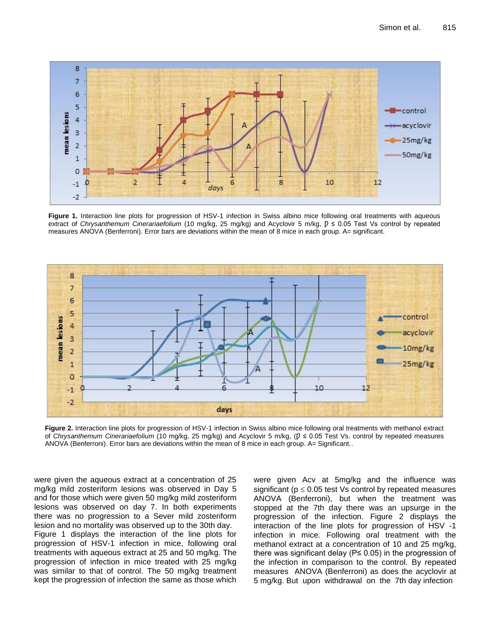

**Figure 1.** Interaction line plots for progression of HSV-1 infection in Swiss albino mice following oral treatments with aqueous extract of *Chrysanthemum Cinerariaefolium* (10 mg/kg, 25 mg/kg) and Acyclovir 5 m/kg,  $p ≤ 0.05$  Test Vs control by repeated measures ANOVA (Benferroni). Error bars are deviations within the mean of 8 mice in each group. A= significant.



**Figure 2.** Interaction line plots for progression of HSV-1 infection in Swiss albino mice following oral treatments with methanol extract of *Chrysanthemum Cinerariaefolium* (10 mg/kg, 25 mg/kg) and Acyclovir 5 m/kg, ( $p ≤ 0.05$  Test Vs. control by repeated measures ANOVA (Benferroni). Error bars are deviations within the mean of 8 mice in each group. A= Significant..

were given the aqueous extract at a concentration of 25 mg/kg mild zosteriform lesions was observed in Day 5 and for those which were given 50 mg/kg mild zosteriform lesions was observed on day 7. In both experiments there was no progression to a Sever mild zosteriform lesion and no mortality was observed up to the 30th day. Figure 1 displays the interaction of the line plots for progression of HSV-1 infection in mice, following oral treatments with aqueous extract at 25 and 50 mg/kg. The

progression of infection in mice treated with 25 mg/kg was similar to that of control. The 50 mg/kg treatment kept the progression of infection the same as those which

were given Acv at 5mg/kg and the influence was significant ( $p \le 0.05$  test Vs control by repeated measures ANOVA (Benferroni), but when the treatment was stopped at the 7th day there was an upsurge in the progression of the infection. Figure 2 displays the interaction of the line plots for progression of HSV -1 infection in mice*.* Following oral treatment with the methanol extract at a concentration of 10 and 25 mg/kg, there was significant delay (P≤ 0.05) in the progression of the infection in comparison to the control. By repeated measures ANOVA (Benferroni) as does the acyclovir at 5 mg/kg. But upon withdrawal on the 7th day infection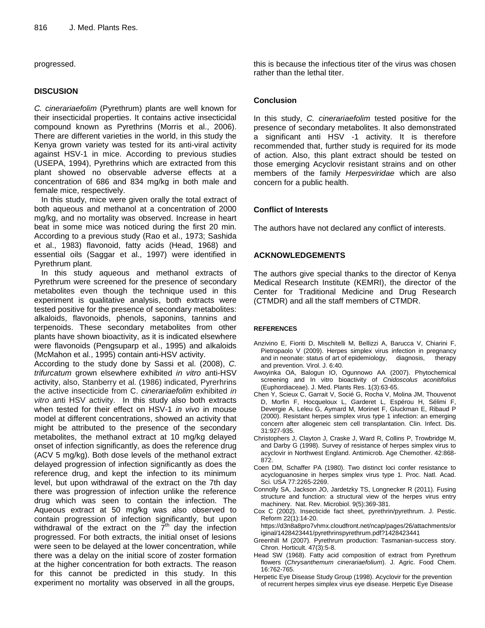progressed.

# **DISCUSION**

*C. cinerariaefolim* (Pyrethrum) plants are well known for their insecticidal properties. It contains active insecticidal compound known as Pyrethrins (Morris et al., 2006). There are different varieties in the world, in this study the Kenya grown variety was tested for its anti-viral activity against HSV-1 in mice. According to previous studies (USEPA, 1994), Pyrethrins which are extracted from this plant showed no observable adverse effects at a concentration of 686 and 834 mg/kg in both male and female mice, respectively.

In this study, mice were given orally the total extract of both aqueous and methanol at a concentration of 2000 mg/kg, and no mortality was observed. Increase in heart beat in some mice was noticed during the first 20 min*.* According to a previous study (Rao et al., 1973; Sashida et al., 1983) flavonoid, fatty acids (Head, 1968) and essential oils (Saggar et al., 1997) were identified in Pyrethrum plant.

In this study aqueous and methanol extracts of Pyrethrum were screened for the presence of secondary metabolites even though the technique used in this experiment is qualitative analysis, both extracts were tested positive for the presence of secondary metabolites: alkaloids, flavonoids, phenols, saponins, tannins and terpenoids. These secondary metabolites from other plants have shown bioactivity, as it is indicated elsewhere were flavonoids (Pengsuparp et al., 1995) and alkaloids (McMahon et al., 1995) contain anti-HSV activity.

According to the study done by Sassi et al. (2008), *C. trifurcatum* grown elsewhere exhibited *in vitro* anti-HSV activity, also, Stanberry et al. (1986) indicated, Pyrerhrins the active insecticide from C. *cinerariaefolim* exhibited *in vitro* anti HSV activity. In this study also both extracts when tested for their effect on HSV-1 *in vivo* in mouse model at different concentrations, showed an activity that might be attributed to the presence of the secondary metabolites, the methanol extract at 10 mg/kg delayed onset of infection significantly, as does the reference drug (ACV 5 mg/kg). Both dose levels of the methanol extract delayed progression of infection significantly as does the reference drug, and kept the infection to its minimum level, but upon withdrawal of the extract on the 7th day there was progression of infection unlike the reference drug which was seen to contain the infection. The Aqueous extract at 50 mg/kg was also observed to contain progression of infection significantly, but upon withdrawal of the extract on the  $\overline{7}^{\text{th}}$  day the infection progressed. For both extracts, the initial onset of lesions were seen to be delayed at the lower concentration, while there was a delay on the initial score of zoster formation at the higher concentration for both extracts. The reason for this cannot be predicted in this study. In this experiment no mortality was observed in all the groups,

this is because the infectious titer of the virus was chosen rather than the lethal titer.

# **Conclusion**

In this study, *C. cinerariaefolim* tested positive for the presence of secondary metabolites. It also demonstrated a significant anti HSV -1 activity. It is therefore recommended that, further study is required for its mode of action. Also, this plant extract should be tested on those emerging Acyclovir resistant strains and on other members of the family *Herpesviridae* which are also concern for a public health.

# **Conflict of Interests**

The authors have not declared any conflict of interests.

#### **ACKNOWLEDGEMENTS**

The authors give special thanks to the director of Kenya Medical Research Institute (KEMRI), the director of the Center for Traditional Medicine and Drug Research (CTMDR) and all the staff members of CTMDR.

#### **REFERENCES**

- Anzivino E, Fioriti D, Mischitelli M, Bellizzi A, Barucca V, Chiarini F, Pietropaolo V (2009). Herpes simplex virus infection in pregnancy and in neonate: status of art of epidemiology, diagnosis, therapy and prevention. Virol. J. 6:40.
- Awoyinka OA, Balogun IO, Ogunnowo AA (2007). Phytochemical screening and In vitro bioactivity of *Cnidoscolus aconitifolius*  (Euphordiaceae). J. Med. Plants Res. 1(3):63-65.
- Chen Y, Scieux C, Garrait V, Socié G, Rocha V, Molina JM, Thouvenot D, Morfin F, Hocqueloux L, Garderet L, Espérou H, Sélimi F, Devergie A, Leleu G, Aymard M, Morinet F, Gluckman E, Ribaud P (2000). Resistant herpes simplex virus type 1 infection: an emerging concern after allogeneic stem cell transplantation. Clin. Infect. Dis. 31:927-935.
- Christophers J, Clayton J, Craske J, Ward R, Collins P, Trowbridge M, and Darby G (1998). Survey of resistance of herpes simplex virus to acyclovir in Northwest England. Antimicrob. Age Chemother. 42:868- 872.
- Coen DM, Schaffer PA (1980). Two distinct loci confer resistance to acycloguanosine in herpes simplex virus type 1. Proc. Natl. Acad. Sci. USA 77:2265-2269.
- Connolly SA, Jackson JO, Jardetzky TS, Longnecker R (2011). Fusing structure and function: a structural view of the herpes virus entry machinery. Nat. Rev. Microbiol. 9(5):369-381.
- Cox C (2002). Insecticide fact sheet, pyrethrin/pyrethrum. J. Pestic. Reform 22(1):14-20.

[https://d3n8a8pro7vhmx.cloudfront.net/ncap/pages/26/attachments/or](https://d3n8a8pro7vhmx.cloudfront.net/ncap/pages/26/attachments/original/1428423441/pyrethrinspyrethrum.pdf?1428423441) [iginal/1428423441/pyrethrinspyrethrum.pdf?1428423441](https://d3n8a8pro7vhmx.cloudfront.net/ncap/pages/26/attachments/original/1428423441/pyrethrinspyrethrum.pdf?1428423441)

- Greenhill M (2007). Pyrethrum production: Tasmanian-success story. Chron. Horticult. 47(3):5-8.
- Head SW (1968). Fatty acid composition of extract from Pyrethrum flowers (*Chrysanthemum cinerariaefolium*). J. Agric. Food Chem. 16:762-765.
- Herpetic Eye Disease Study Group (1998). Acyclovir for the prevention of recurrent herpes simplex virus eye disease. Herpetic Eye Disease